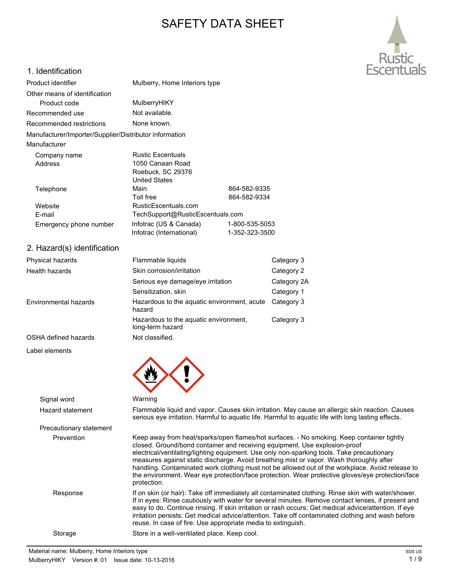# SAFETY DATA SHEET



# 1. Identification

| Product identifier                                     | Mulberry, Home Interiors type |                                  |  |
|--------------------------------------------------------|-------------------------------|----------------------------------|--|
| Other means of identification                          |                               |                                  |  |
| Product code                                           | MulberryHIKY                  |                                  |  |
| Recommended use                                        | Not available.                |                                  |  |
| Recommended restrictions                               | None known.                   |                                  |  |
| Manufacturer/Importer/Supplier/Distributor information |                               |                                  |  |
| Manufacturer                                           |                               |                                  |  |
| Company name                                           | <b>Rustic Escentuals</b>      |                                  |  |
| Address                                                | 1050 Canaan Road              |                                  |  |
|                                                        | Roebuck, SC 29376             |                                  |  |
|                                                        | <b>United States</b>          |                                  |  |
| Telephone                                              | Main                          | 864-582-9335                     |  |
|                                                        | Toll free                     | 864-582-9334                     |  |
| Website                                                | RusticEscentuals.com          |                                  |  |
| E-mail                                                 |                               | TechSupport@RusticEscentuals.com |  |
| Emergency phone number                                 | Infotrac (US & Canada)        | 1-800-535-5053                   |  |
|                                                        | Infotrac (International)      | 1-352-323-3500                   |  |

# 2. Hazard(s) identification

| Physical hazards      | Flammable liquids<br>Category 3                           |             |
|-----------------------|-----------------------------------------------------------|-------------|
| Health hazards        | Skin corrosion/irritation                                 | Category 2  |
|                       | Serious eye damage/eye irritation                         | Category 2A |
|                       | Sensitization, skin                                       | Category 1  |
| Environmental hazards | Hazardous to the aquatic environment, acute<br>hazard     | Category 3  |
|                       | Hazardous to the aguatic environment,<br>long-term hazard | Category 3  |
| OSHA defined hazards  | Not classified.                                           |             |
| Label elements        |                                                           |             |
|                       |                                                           |             |



| Signal word             | Warning                                                                                                                                                                                                                                                                                                                                                                                                                                                                                                                                                                                |
|-------------------------|----------------------------------------------------------------------------------------------------------------------------------------------------------------------------------------------------------------------------------------------------------------------------------------------------------------------------------------------------------------------------------------------------------------------------------------------------------------------------------------------------------------------------------------------------------------------------------------|
| Hazard statement        | Flammable liquid and vapor. Causes skin irritation. May cause an allergic skin reaction. Causes<br>serious eye irritation. Harmful to aquatic life. Harmful to aquatic life with long lasting effects.                                                                                                                                                                                                                                                                                                                                                                                 |
| Precautionary statement |                                                                                                                                                                                                                                                                                                                                                                                                                                                                                                                                                                                        |
| Prevention              | Keep away from heat/sparks/open flames/hot surfaces. - No smoking. Keep container tightly<br>closed. Ground/bond container and receiving equipment. Use explosion-proof<br>electrical/ventilating/lighting equipment. Use only non-sparking tools. Take precautionary<br>measures against static discharge. Avoid breathing mist or vapor. Wash thoroughly after<br>handling. Contaminated work clothing must not be allowed out of the workplace. Avoid release to<br>the environment. Wear eye protection/face protection. Wear protective gloves/eye protection/face<br>protection. |
| Response                | If on skin (or hair): Take off immediately all contaminated clothing. Rinse skin with water/shower.<br>If in eyes: Rinse cautiously with water for several minutes. Remove contact lenses, if present and<br>easy to do. Continue rinsing. If skin irritation or rash occurs: Get medical advice/attention. If eye<br>irritation persists: Get medical advice/attention. Take off contaminated clothing and wash before<br>reuse. In case of fire: Use appropriate media to extinguish.                                                                                                |
| Storage                 | Store in a well-ventilated place. Keep cool.                                                                                                                                                                                                                                                                                                                                                                                                                                                                                                                                           |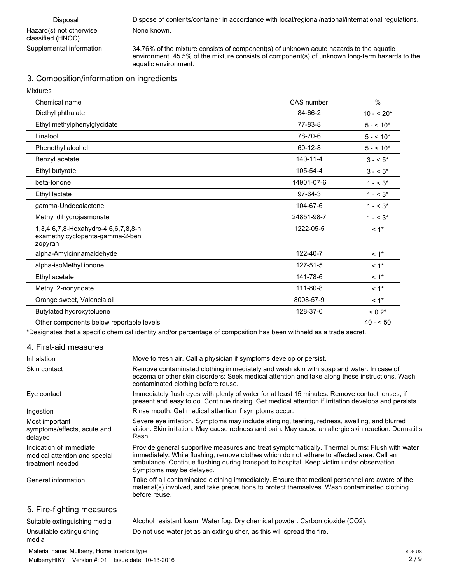$\mathbf{M}$ 

Supplemental information 34.76% of the mixture consists of component(s) of unknown acute hazards to the aquatic environment. 45.5% of the mixture consists of component(s) of unknown long-term hazards to the aquatic environment.

# 3. Composition/information on ingredients

| <b>MIXTURES</b>                                                                   |               |             |
|-----------------------------------------------------------------------------------|---------------|-------------|
| Chemical name                                                                     | CAS number    | $\%$        |
| Diethyl phthalate                                                                 | 84-66-2       | $10 - 520*$ |
| Ethyl methylphenylglycidate                                                       | 77-83-8       | $5 - 10*$   |
| Linalool                                                                          | 78-70-6       | $5 - 10*$   |
| Phenethyl alcohol                                                                 | $60 - 12 - 8$ | $5 - 10*$   |
| Benzyl acetate                                                                    | 140-11-4      | $3 - 5^*$   |
| Ethyl butyrate                                                                    | 105-54-4      | $3 - 5*$    |
| beta-lonone                                                                       | 14901-07-6    | $1 - 5^*$   |
| Ethyl lactate                                                                     | $97-64-3$     | $1 - 5^*$   |
| gamma-Undecalactone                                                               | 104-67-6      | $1 - 5^*$   |
| Methyl dihydrojasmonate                                                           | 24851-98-7    | $1 - 5^*$   |
| 1,3,4,6,7,8-Hexahydro-4,6,6,7,8,8-h<br>examethylcyclopenta-gamma-2-ben<br>zopyran | 1222-05-5     | $< 1$ *     |
| alpha-Amylcinnamaldehyde                                                          | 122-40-7      | $< 1$ *     |
| alpha-isoMethyl ionone                                                            | 127-51-5      | $< 1$ *     |
| Ethyl acetate                                                                     | 141-78-6      | $< 1$ *     |
| Methyl 2-nonynoate                                                                | 111-80-8      | $< 1$ *     |
| Orange sweet, Valencia oil                                                        | 8008-57-9     | $< 1$ *     |
| Butylated hydroxytoluene                                                          | 128-37-0      | $< 0.2*$    |
| Other components below reportable levels                                          |               | $40 - 50$   |

\*Designates that a specific chemical identity and/or percentage of composition has been withheld as a trade secret.

### 4. First-aid measures

| Inhalation                                                                   | Move to fresh air. Call a physician if symptoms develop or persist.                                                                                                                                                                                                                                                  |
|------------------------------------------------------------------------------|----------------------------------------------------------------------------------------------------------------------------------------------------------------------------------------------------------------------------------------------------------------------------------------------------------------------|
| Skin contact                                                                 | Remove contaminated clothing immediately and wash skin with soap and water. In case of<br>eczema or other skin disorders: Seek medical attention and take along these instructions. Wash<br>contaminated clothing before reuse.                                                                                      |
| Eye contact                                                                  | Immediately flush eyes with plenty of water for at least 15 minutes. Remove contact lenses, if<br>present and easy to do. Continue rinsing. Get medical attention if irritation develops and persists.                                                                                                               |
| Ingestion                                                                    | Rinse mouth. Get medical attention if symptoms occur.                                                                                                                                                                                                                                                                |
| Most important<br>symptoms/effects, acute and<br>delayed                     | Severe eye irritation. Symptoms may include stinging, tearing, redness, swelling, and blurred<br>vision. Skin irritation. May cause redness and pain. May cause an allergic skin reaction. Dermatitis.<br>Rash.                                                                                                      |
| Indication of immediate<br>medical attention and special<br>treatment needed | Provide general supportive measures and treat symptomatically. Thermal burns: Flush with water<br>immediately. While flushing, remove clothes which do not adhere to affected area. Call an<br>ambulance. Continue flushing during transport to hospital. Keep victim under observation.<br>Symptoms may be delayed. |
| General information                                                          | Take off all contaminated clothing immediately. Ensure that medical personnel are aware of the<br>material(s) involved, and take precautions to protect themselves. Wash contaminated clothing<br>before reuse.                                                                                                      |
| 5. Fire-fighting measures                                                    |                                                                                                                                                                                                                                                                                                                      |
| Cuitable ovtinguiching modia                                                 | Alcohol resistant foam Water foa. Druchemieal neuder, Carbon dievide (CO2)                                                                                                                                                                                                                                           |

#### Suitable extinguishing media Alcohol resistant foam. Water fog. Dry chemical powder. Carbon dioxide (CO2). Unsuitable extinguishing Do not use water jet as an extinguisher, as this will spread the fire. media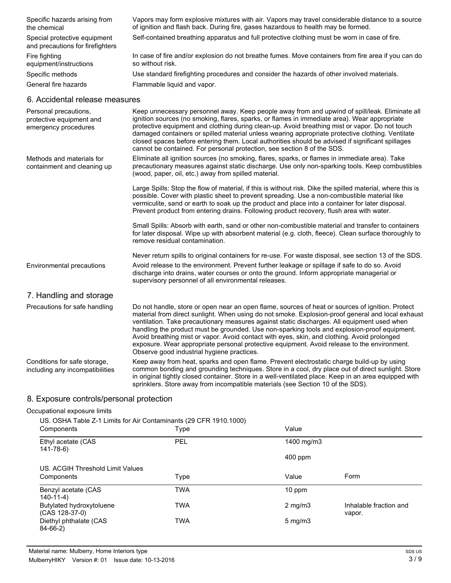| Specific hazards arising from<br>the chemical                             | Vapors may form explosive mixtures with air. Vapors may travel considerable distance to a source<br>of ignition and flash back. During fire, gases hazardous to health may be formed.                                                                                                            |  |
|---------------------------------------------------------------------------|--------------------------------------------------------------------------------------------------------------------------------------------------------------------------------------------------------------------------------------------------------------------------------------------------|--|
| Special protective equipment<br>and precautions for firefighters          | Self-contained breathing apparatus and full protective clothing must be worn in case of fire.                                                                                                                                                                                                    |  |
| Fire fighting<br>equipment/instructions                                   | In case of fire and/or explosion do not breathe fumes. Move containers from fire area if you can do<br>so without risk.                                                                                                                                                                          |  |
| Specific methods                                                          | Use standard firefighting procedures and consider the hazards of other involved materials.                                                                                                                                                                                                       |  |
| General fire hazards                                                      | Flammable liquid and vapor.                                                                                                                                                                                                                                                                      |  |
| 6. Accidental release measures                                            |                                                                                                                                                                                                                                                                                                  |  |
| Personal precautions.<br>protective equipment and<br>emergency procedures | Keep unnecessary personnel away. Keep people away from and upwind of spill/leak. Eliminate all<br>ignition sources (no smoking, flares, sparks, or flames in immediate area). Wear appropriate<br>protective equipment and clothing during clean-up. Avoid breathing mist or vapor. Do not touch |  |

damaged containers or spilled material unless wearing appropriate protective clothing. Ventilate closed spaces before entering them. Local authorities should be advised if significant spillages cannot be contained. For personal protection, see section 8 of the SDS. Eliminate all ignition sources (no smoking, flares, sparks, or flames in immediate area). Take precautionary measures against static discharge. Use only non-sparking tools. Keep combustibles (wood, paper, oil, etc.) away from spilled material. Methods and materials for containment and cleaning up

> Large Spills: Stop the flow of material, if this is without risk. Dike the spilled material, where this is possible. Cover with plastic sheet to prevent spreading. Use a non-combustible material like vermiculite, sand or earth to soak up the product and place into a container for later disposal. Prevent product from entering drains. Following product recovery, flush area with water.

> Small Spills: Absorb with earth, sand or other non-combustible material and transfer to containers for later disposal. Wipe up with absorbent material (e.g. cloth, fleece). Clean surface thoroughly to remove residual contamination.

Never return spills to original containers for re-use. For waste disposal, see section 13 of the SDS.

Avoid release to the environment. Prevent further leakage or spillage if safe to do so. Avoid discharge into drains, water courses or onto the ground. Inform appropriate managerial or supervisory personnel of all environmental releases. Environmental precautions

## 7. Handling and storage

| Precautions for safe handling                                   | Do not handle, store or open near an open flame, sources of heat or sources of ignition. Protect<br>material from direct sunlight. When using do not smoke. Explosion-proof general and local exhaust<br>ventilation. Take precautionary measures against static discharges. All equipment used when<br>handling the product must be grounded. Use non-sparking tools and explosion-proof equipment.<br>Avoid breathing mist or vapor. Avoid contact with eyes, skin, and clothing. Avoid prolonged<br>exposure. Wear appropriate personal protective equipment. Avoid release to the environment.<br>Observe good industrial hygiene practices. |
|-----------------------------------------------------------------|--------------------------------------------------------------------------------------------------------------------------------------------------------------------------------------------------------------------------------------------------------------------------------------------------------------------------------------------------------------------------------------------------------------------------------------------------------------------------------------------------------------------------------------------------------------------------------------------------------------------------------------------------|
| Conditions for safe storage,<br>including any incompatibilities | Keep away from heat, sparks and open flame. Prevent electrostatic charge build-up by using<br>common bonding and grounding techniques. Store in a cool, dry place out of direct sunlight. Store<br>in original tightly closed container. Store in a well-ventilated place. Keep in an area equipped with<br>sprinklers. Store away from incompatible materials (see Section 10 of the SDS).                                                                                                                                                                                                                                                      |

## 8. Exposure controls/personal protection

#### Occupational exposure limits

US. OSHA Table Z-1 Limits for Air Contaminants (29 CFR 1910.1000)

| Components                                 | Type       | Value            |                                  |
|--------------------------------------------|------------|------------------|----------------------------------|
| Ethyl acetate (CAS<br>141-78-6)            | PEL        | 1400 mg/m3       |                                  |
|                                            |            | $400$ ppm        |                                  |
| US. ACGIH Threshold Limit Values           |            |                  |                                  |
| Components                                 | Type       | Value            | Form                             |
| Benzyl acetate (CAS<br>$140 - 11 - 4$      | TWA        | $10$ ppm         |                                  |
| Butylated hydroxytoluene<br>(CAS 128-37-0) | <b>TWA</b> | $2 \text{ mg/m}$ | Inhalable fraction and<br>vapor. |
| Diethyl phthalate (CAS<br>$84-66-2)$       | <b>TWA</b> | $5 \text{ mg/m}$ |                                  |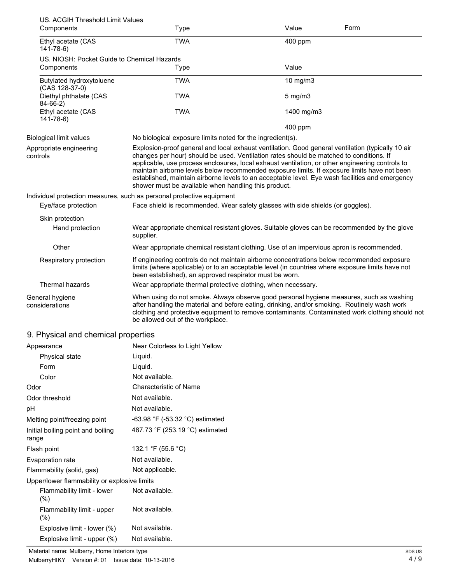| US. ACGIH Threshold Limit Values<br>Components                                    | <b>Type</b>                                                                                                                                                                                                                                                                                                                                                                                                                                                                                                                                                | Value            | Form |
|-----------------------------------------------------------------------------------|------------------------------------------------------------------------------------------------------------------------------------------------------------------------------------------------------------------------------------------------------------------------------------------------------------------------------------------------------------------------------------------------------------------------------------------------------------------------------------------------------------------------------------------------------------|------------------|------|
| Ethyl acetate (CAS<br>$141 - 78 - 6$                                              | <b>TWA</b>                                                                                                                                                                                                                                                                                                                                                                                                                                                                                                                                                 | 400 ppm          |      |
| US. NIOSH: Pocket Guide to Chemical Hazards<br>Components                         | Type                                                                                                                                                                                                                                                                                                                                                                                                                                                                                                                                                       | Value            |      |
| Butylated hydroxytoluene                                                          | <b>TWA</b>                                                                                                                                                                                                                                                                                                                                                                                                                                                                                                                                                 | 10 mg/m3         |      |
| (CAS 128-37-0)<br>Diethyl phthalate (CAS                                          | <b>TWA</b>                                                                                                                                                                                                                                                                                                                                                                                                                                                                                                                                                 | $5 \text{ mg/m}$ |      |
| $84-66-2)$<br>Ethyl acetate (CAS                                                  | <b>TWA</b>                                                                                                                                                                                                                                                                                                                                                                                                                                                                                                                                                 | 1400 mg/m3       |      |
| $141 - 78 - 6$                                                                    |                                                                                                                                                                                                                                                                                                                                                                                                                                                                                                                                                            | 400 ppm          |      |
| <b>Biological limit values</b>                                                    | No biological exposure limits noted for the ingredient(s).                                                                                                                                                                                                                                                                                                                                                                                                                                                                                                 |                  |      |
| Appropriate engineering<br>controls                                               | Explosion-proof general and local exhaust ventilation. Good general ventilation (typically 10 air<br>changes per hour) should be used. Ventilation rates should be matched to conditions. If<br>applicable, use process enclosures, local exhaust ventilation, or other engineering controls to<br>maintain airborne levels below recommended exposure limits. If exposure limits have not been<br>established, maintain airborne levels to an acceptable level. Eye wash facilities and emergency<br>shower must be available when handling this product. |                  |      |
| Eye/face protection                                                               | Individual protection measures, such as personal protective equipment<br>Face shield is recommended. Wear safety glasses with side shields (or goggles).                                                                                                                                                                                                                                                                                                                                                                                                   |                  |      |
| Skin protection                                                                   |                                                                                                                                                                                                                                                                                                                                                                                                                                                                                                                                                            |                  |      |
| Hand protection                                                                   | Wear appropriate chemical resistant gloves. Suitable gloves can be recommended by the glove<br>supplier.                                                                                                                                                                                                                                                                                                                                                                                                                                                   |                  |      |
| Other                                                                             | Wear appropriate chemical resistant clothing. Use of an impervious apron is recommended.                                                                                                                                                                                                                                                                                                                                                                                                                                                                   |                  |      |
| Respiratory protection                                                            | If engineering controls do not maintain airborne concentrations below recommended exposure<br>limits (where applicable) or to an acceptable level (in countries where exposure limits have not<br>been established), an approved respirator must be worn.                                                                                                                                                                                                                                                                                                  |                  |      |
| Thermal hazards                                                                   | Wear appropriate thermal protective clothing, when necessary.                                                                                                                                                                                                                                                                                                                                                                                                                                                                                              |                  |      |
| General hygiene<br>considerations                                                 | When using do not smoke. Always observe good personal hygiene measures, such as washing<br>after handling the material and before eating, drinking, and/or smoking. Routinely wash work<br>clothing and protective equipment to remove contaminants. Contaminated work clothing should not<br>be allowed out of the workplace.                                                                                                                                                                                                                             |                  |      |
| 9. Physical and chemical properties                                               |                                                                                                                                                                                                                                                                                                                                                                                                                                                                                                                                                            |                  |      |
| Appearance                                                                        | Near Colorless to Light Yellow                                                                                                                                                                                                                                                                                                                                                                                                                                                                                                                             |                  |      |
| Physical state                                                                    | Liquid.                                                                                                                                                                                                                                                                                                                                                                                                                                                                                                                                                    |                  |      |
| Form                                                                              | Liquid.                                                                                                                                                                                                                                                                                                                                                                                                                                                                                                                                                    |                  |      |
| Color                                                                             | Not available.                                                                                                                                                                                                                                                                                                                                                                                                                                                                                                                                             |                  |      |
| Odor                                                                              | <b>Characteristic of Name</b>                                                                                                                                                                                                                                                                                                                                                                                                                                                                                                                              |                  |      |
| Odor threshold                                                                    | Not available.                                                                                                                                                                                                                                                                                                                                                                                                                                                                                                                                             |                  |      |
| рH                                                                                | Not available.                                                                                                                                                                                                                                                                                                                                                                                                                                                                                                                                             |                  |      |
| Melting point/freezing point                                                      | -63.98 °F (-53.32 °C) estimated                                                                                                                                                                                                                                                                                                                                                                                                                                                                                                                            |                  |      |
| Initial boiling point and boiling<br>range                                        | 487.73 °F (253.19 °C) estimated                                                                                                                                                                                                                                                                                                                                                                                                                                                                                                                            |                  |      |
| Flash point                                                                       | 132.1 °F (55.6 °C)                                                                                                                                                                                                                                                                                                                                                                                                                                                                                                                                         |                  |      |
| Evaporation rate                                                                  | Not available.                                                                                                                                                                                                                                                                                                                                                                                                                                                                                                                                             |                  |      |
| Flammability (solid, gas)                                                         | Not applicable.                                                                                                                                                                                                                                                                                                                                                                                                                                                                                                                                            |                  |      |
| Upper/lower flammability or explosive limits<br>Flammability limit - lower<br>(%) | Not available.                                                                                                                                                                                                                                                                                                                                                                                                                                                                                                                                             |                  |      |
| Flammability limit - upper<br>(%)                                                 | Not available.                                                                                                                                                                                                                                                                                                                                                                                                                                                                                                                                             |                  |      |
| Explosive limit - lower (%)                                                       | Not available.                                                                                                                                                                                                                                                                                                                                                                                                                                                                                                                                             |                  |      |
| Explosive limit - upper (%)                                                       | Not available.                                                                                                                                                                                                                                                                                                                                                                                                                                                                                                                                             |                  |      |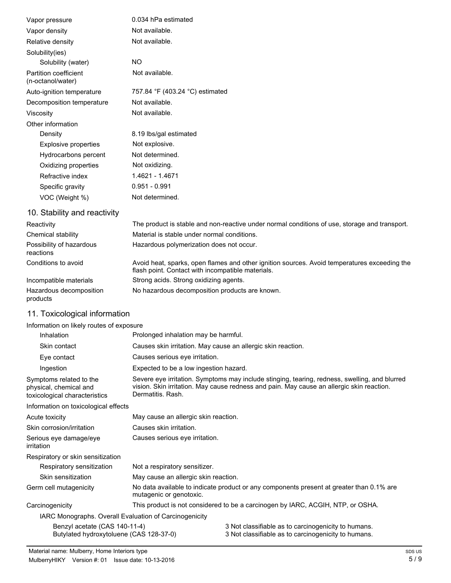| Vapor pressure                             | 0.034 hPa estimated             |
|--------------------------------------------|---------------------------------|
| Vapor density                              | Not available.                  |
| Relative density                           | Not available.                  |
| Solubility(ies)                            |                                 |
| Solubility (water)                         | NO.                             |
| Partition coefficient<br>(n-octanol/water) | Not available.                  |
| Auto-ignition temperature                  | 757.84 °F (403.24 °C) estimated |
| Decomposition temperature                  | Not available.                  |
| Viscosity                                  | Not available.                  |
| Other information                          |                                 |
| Density                                    | 8.19 lbs/gal estimated          |
| <b>Explosive properties</b>                | Not explosive.                  |
| Hydrocarbons percent                       | Not determined.                 |
| Oxidizing properties                       | Not oxidizing.                  |
| Refractive index                           | 1.4621 - 1.4671                 |
| Specific gravity                           | $0.951 - 0.991$                 |
| VOC (Weight %)                             | Not determined.                 |

# 10. Stability and reactivity

| Reactivity                            | The product is stable and non-reactive under normal conditions of use, storage and transport.                                                     |
|---------------------------------------|---------------------------------------------------------------------------------------------------------------------------------------------------|
| Chemical stability                    | Material is stable under normal conditions.                                                                                                       |
| Possibility of hazardous<br>reactions | Hazardous polymerization does not occur.                                                                                                          |
| Conditions to avoid                   | Avoid heat, sparks, open flames and other ignition sources. Avoid temperatures exceeding the<br>flash point. Contact with incompatible materials. |
| Incompatible materials                | Strong acids. Strong oxidizing agents.                                                                                                            |
| Hazardous decomposition               | No hazardous decomposition products are known.                                                                                                    |

# 11. Toxicological information

products

### Information on likely routes of exposure

| Inhalation                                                                         | Prolonged inhalation may be harmful.                                                                                                                                                                            |                                                                                                            |  |
|------------------------------------------------------------------------------------|-----------------------------------------------------------------------------------------------------------------------------------------------------------------------------------------------------------------|------------------------------------------------------------------------------------------------------------|--|
| Skin contact                                                                       | Causes skin irritation. May cause an allergic skin reaction.                                                                                                                                                    |                                                                                                            |  |
| Eye contact                                                                        | Causes serious eye irritation.                                                                                                                                                                                  |                                                                                                            |  |
| Ingestion                                                                          | Expected to be a low ingestion hazard.                                                                                                                                                                          |                                                                                                            |  |
| Symptoms related to the<br>physical, chemical and<br>toxicological characteristics | Severe eye irritation. Symptoms may include stinging, tearing, redness, swelling, and blurred<br>vision. Skin irritation. May cause redness and pain. May cause an allergic skin reaction.<br>Dermatitis, Rash. |                                                                                                            |  |
| Information on toxicological effects                                               |                                                                                                                                                                                                                 |                                                                                                            |  |
| Acute toxicity                                                                     | May cause an allergic skin reaction.                                                                                                                                                                            |                                                                                                            |  |
| Skin corrosion/irritation                                                          | Causes skin irritation.                                                                                                                                                                                         |                                                                                                            |  |
| Serious eye damage/eye<br>irritation                                               | Causes serious eye irritation.                                                                                                                                                                                  |                                                                                                            |  |
| Respiratory or skin sensitization                                                  |                                                                                                                                                                                                                 |                                                                                                            |  |
| Respiratory sensitization                                                          | Not a respiratory sensitizer.                                                                                                                                                                                   |                                                                                                            |  |
| Skin sensitization                                                                 | May cause an allergic skin reaction.                                                                                                                                                                            |                                                                                                            |  |
| Germ cell mutagenicity                                                             | No data available to indicate product or any components present at greater than 0.1% are<br>mutagenic or genotoxic.                                                                                             |                                                                                                            |  |
| Carcinogenicity                                                                    | This product is not considered to be a carcinogen by IARC, ACGIH, NTP, or OSHA.                                                                                                                                 |                                                                                                            |  |
| IARC Monographs. Overall Evaluation of Carcinogenicity                             |                                                                                                                                                                                                                 |                                                                                                            |  |
| Benzyl acetate (CAS 140-11-4)<br>Butylated hydroxytoluene (CAS 128-37-0)           |                                                                                                                                                                                                                 | 3 Not classifiable as to carcinogenicity to humans.<br>3 Not classifiable as to carcinogenicity to humans. |  |
|                                                                                    |                                                                                                                                                                                                                 |                                                                                                            |  |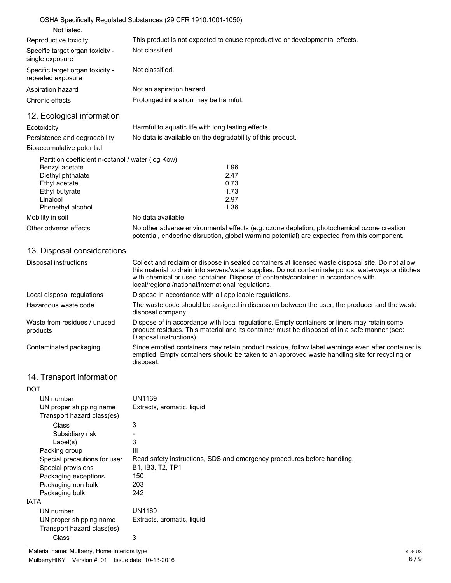| OSHA Specifically Regulated Substances (29 CFR 1910.1001-1050)               |
|------------------------------------------------------------------------------|
|                                                                              |
| This product is not expected to cause reproductive or developmental effects. |
| Not classified.                                                              |
| Not classified.                                                              |
| Not an aspiration hazard.                                                    |
| Prolonged inhalation may be harmful.                                         |
|                                                                              |

# 12. Ecological information

| Ecotoxicity                   | Harmful to aquatic life with long lasting effects.         |
|-------------------------------|------------------------------------------------------------|
| Persistence and degradability | No data is available on the degradability of this product. |

#### Bioaccumulative potential

| Partition coefficient n-octanol / water (log Kow) |      |
|---------------------------------------------------|------|
|                                                   | 1.96 |
|                                                   | 2.47 |
|                                                   | 0.73 |
|                                                   | 1.73 |
|                                                   | 2.97 |
|                                                   | 1.36 |
| No data available.                                |      |
|                                                   |      |

Other adverse effects No other adverse environmental effects (e.g. ozone depletion, photochemical ozone creation potential, endocrine disruption, global warming potential) are expected from this component.

# 13. Disposal considerations

| Disposal instructions                    | Collect and reclaim or dispose in sealed containers at licensed waste disposal site. Do not allow<br>this material to drain into sewers/water supplies. Do not contaminate ponds, waterways or ditches<br>with chemical or used container. Dispose of contents/container in accordance with<br>local/regional/national/international regulations. |
|------------------------------------------|---------------------------------------------------------------------------------------------------------------------------------------------------------------------------------------------------------------------------------------------------------------------------------------------------------------------------------------------------|
| Local disposal regulations               | Dispose in accordance with all applicable regulations.                                                                                                                                                                                                                                                                                            |
| Hazardous waste code                     | The waste code should be assigned in discussion between the user, the producer and the waste<br>disposal company.                                                                                                                                                                                                                                 |
| Waste from residues / unused<br>products | Dispose of in accordance with local regulations. Empty containers or liners may retain some<br>product residues. This material and its container must be disposed of in a safe manner (see:<br>Disposal instructions).                                                                                                                            |
| Contaminated packaging                   | Since emptied containers may retain product residue, follow label warnings even after container is<br>emptied. Empty containers should be taken to an approved waste handling site for recycling or<br>disposal.                                                                                                                                  |

# 14. Transport information

| DOT                          |                                                                         |
|------------------------------|-------------------------------------------------------------------------|
| UN number                    | UN1169                                                                  |
| UN proper shipping name      | Extracts, aromatic, liquid                                              |
| Transport hazard class(es)   |                                                                         |
| <b>Class</b>                 | 3                                                                       |
| Subsidiary risk              |                                                                         |
| Label(s)                     | 3                                                                       |
| Packing group                | Ш                                                                       |
| Special precautions for user | Read safety instructions, SDS and emergency procedures before handling. |
| Special provisions           | B1, IB3, T2, TP1                                                        |
| Packaging exceptions         | 150                                                                     |
| Packaging non bulk           | 203                                                                     |
| Packaging bulk               | 242                                                                     |
| IATA                         |                                                                         |
| UN number                    | UN1169                                                                  |
| UN proper shipping name      | Extracts, aromatic, liquid                                              |
| Transport hazard class(es)   |                                                                         |
| Class                        | 3                                                                       |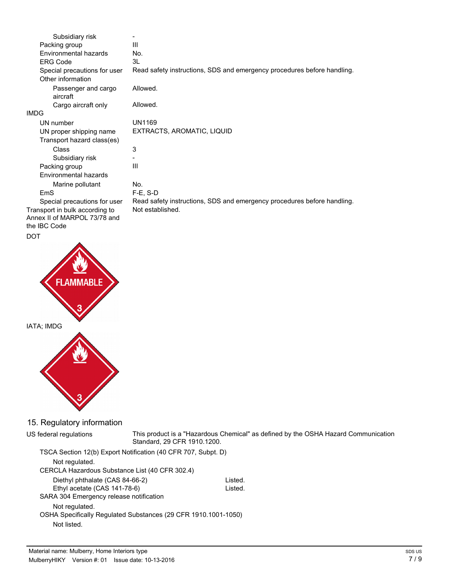| Subsidiary risk                              |                                                                         |
|----------------------------------------------|-------------------------------------------------------------------------|
| Packing group                                | Ш                                                                       |
| Environmental hazards                        | No.                                                                     |
| <b>ERG Code</b>                              | 3L                                                                      |
| Special precautions for user                 | Read safety instructions, SDS and emergency procedures before handling. |
| Other information                            |                                                                         |
| Passenger and cargo<br>aircraft              | Allowed.                                                                |
| Cargo aircraft only                          | Allowed.                                                                |
| <b>IMDG</b>                                  |                                                                         |
| UN number                                    | UN1169                                                                  |
| UN proper shipping name                      | EXTRACTS, AROMATIC, LIQUID                                              |
| Transport hazard class(es)                   |                                                                         |
| Class                                        | 3                                                                       |
| Subsidiary risk                              |                                                                         |
| Packing group                                | Ш                                                                       |
| <b>Environmental hazards</b>                 |                                                                         |
| Marine pollutant                             | No.                                                                     |
| EmS                                          | $F-E. S-D$                                                              |
| Special precautions for user                 | Read safety instructions, SDS and emergency procedures before handling. |
| Transport in bulk according to               | Not established.                                                        |
| Annex II of MARPOL 73/78 and<br>the IBC Code |                                                                         |

DOT



## 15. Regulatory information

US federal regulations

This product is a "Hazardous Chemical" as defined by the OSHA Hazard Communication Standard, 29 CFR 1910.1200.

TSCA Section 12(b) Export Notification (40 CFR 707, Subpt. D) Not regulated. CERCLA Hazardous Substance List (40 CFR 302.4) Diethyl phthalate (CAS 84-66-2) Listed. Ethyl acetate (CAS 141-78-6) Listed. SARA 304 Emergency release notification Not regulated. OSHA Specifically Regulated Substances (29 CFR 1910.1001-1050) Not listed.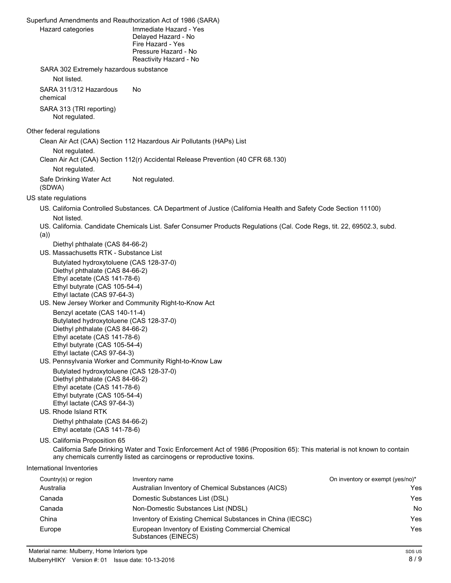Superfund Amendments and Reauthorization Act of 1986 (SARA) Immediate Hazard - Yes Delayed Hazard - No Fire Hazard - Yes Pressure Hazard - No Reactivity Hazard - No Hazard categories SARA 302 Extremely hazardous substance Not listed. SARA 311/312 Hazardous No chemical SARA 313 (TRI reporting) Not regulated. Other federal regulations Clean Air Act (CAA) Section 112 Hazardous Air Pollutants (HAPs) List Not regulated. Clean Air Act (CAA) Section 112(r) Accidental Release Prevention (40 CFR 68.130) Not regulated. Safe Drinking Water Act Not regulated. (SDWA) US state regulations US. California Controlled Substances. CA Department of Justice (California Health and Safety Code Section 11100) Not listed. US. California. Candidate Chemicals List. Safer Consumer Products Regulations (Cal. Code Regs, tit. 22, 69502.3, subd. (a)) Diethyl phthalate (CAS 84-66-2) US. Massachusetts RTK - Substance List Butylated hydroxytoluene (CAS 128-37-0) Diethyl phthalate (CAS 84-66-2) Ethyl acetate (CAS 141-78-6) Ethyl butyrate (CAS 105-54-4) Ethyl lactate (CAS 97-64-3) US. New Jersey Worker and Community Right-to-Know Act Benzyl acetate (CAS 140-11-4) Butylated hydroxytoluene (CAS 128-37-0) Diethyl phthalate (CAS 84-66-2) Ethyl acetate (CAS 141-78-6) Ethyl butyrate (CAS 105-54-4) Ethyl lactate (CAS 97-64-3) US. Pennsylvania Worker and Community Right-to-Know Law Butylated hydroxytoluene (CAS 128-37-0) Diethyl phthalate (CAS 84-66-2) Ethyl acetate (CAS 141-78-6) Ethyl butyrate (CAS 105-54-4) Ethyl lactate (CAS 97-64-3) US. Rhode Island RTK Diethyl phthalate (CAS 84-66-2) Ethyl acetate (CAS 141-78-6) US. California Proposition 65 California Safe Drinking Water and Toxic Enforcement Act of 1986 (Proposition 65): This material is not known to contain any chemicals currently listed as carcinogens or reproductive toxins. International Inventories Country(s) or region This inventory name **Country Country Country Country Country** Country or exempt (yes/no)<sup>\*</sup> Australia Australian Inventory of Chemical Substances (AICS) Yes Canada Domestic Substances List (DSL) Yes Canada Non-Domestic Substances List (NDSL) No China **Inventory of Existing Chemical Substances in China (IECSC)** Yes

Europe **European Inventory of Existing Commercial Chemical Chemical Chemical Chemical Chemical Chemical Chemical Chemical Chemical Chemical Chemical Chemical Chemical Chemical Chemical Chemical Chemical Chemical Chemical C** 

Substances (EINECS)